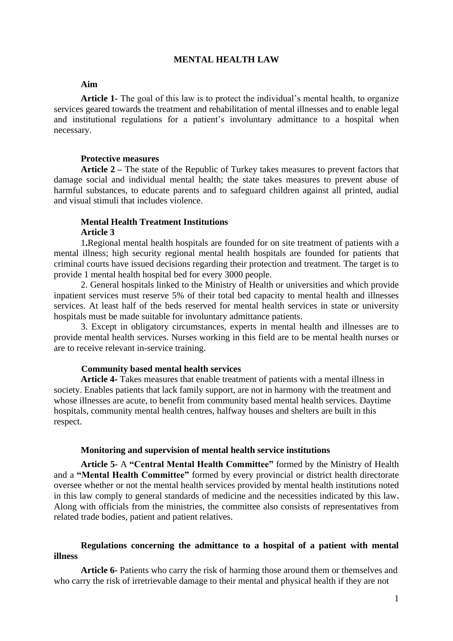## **MENTAL HEALTH LAW**

## **Aim**

**Article 1-** The goal of this law is to protect the individual's mental health, to organize services geared towards the treatment and rehabilitation of mental illnesses and to enable legal and institutional regulations for a patient's involuntary admittance to a hospital when necessary.

### **Protective measures**

**Article 2 –** The state of the Republic of Turkey takes measures to prevent factors that damage social and individual mental health; the state takes measures to prevent abuse of harmful substances, to educate parents and to safeguard children against all printed, audial and visual stimuli that includes violence.

# **Mental Health Treatment Institutions Article 3**

1**.**Regional mental health hospitals are founded for on site treatment of patients with a mental illness; high security regional mental health hospitals are founded for patients that criminal courts have issued decisions regarding their protection and treatment. The target is to provide 1 mental health hospital bed for every 3000 people.

2. General hospitals linked to the Ministry of Health or universities and which provide inpatient services must reserve 5% of their total bed capacity to mental health and illnesses services. At least half of the beds reserved for mental health services in state or university hospitals must be made suitable for involuntary admittance patients.

3. Except in obligatory circumstances, experts in mental health and illnesses are to provide mental health services. Nurses working in this field are to be mental health nurses or are to receive relevant in-service training.

### **Community based mental health services**

**Article 4-** Takes measures that enable treatment of patients with a mental illness in society. Enables patients that lack family support, are not in harmony with the treatment and whose illnesses are acute, to benefit from community based mental health services. Daytime hospitals, community mental health centres, halfway houses and shelters are built in this respect.

#### **Monitoring and supervision of mental health service institutions**

**Article 5-** A **"Central Mental Health Committee"** formed by the Ministry of Health and a **"Mental Health Committee"** formed by every provincial or district health directorate oversee whether or not the mental health services provided by mental health institutions noted in this law comply to general standards of medicine and the necessities indicated by this law. Along with officials from the ministries, the committee also consists of representatives from related trade bodies, patient and patient relatives.

# **Regulations concerning the admittance to a hospital of a patient with mental illness**

**Article 6-** Patients who carry the risk of harming those around them or themselves and who carry the risk of irretrievable damage to their mental and physical health if they are not